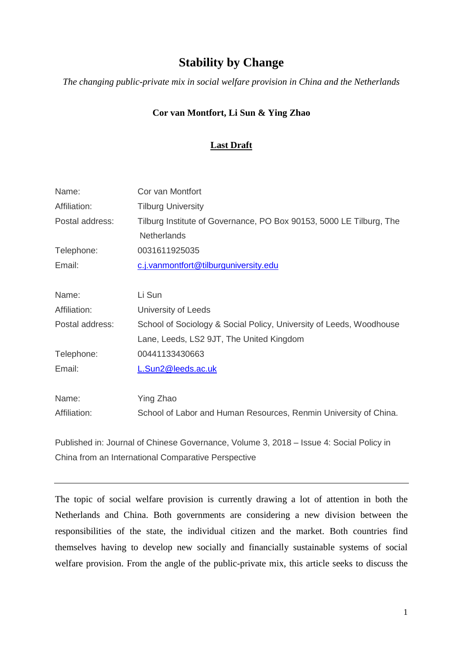# **Stability by Change**

*The changing public-private mix in social welfare provision in China and the Netherlands*

# **Cor van Montfort, Li Sun & Ying Zhao**

# **Last Draft**

| Name:           | Cor van Montfort                                                    |
|-----------------|---------------------------------------------------------------------|
| Affiliation:    | <b>Tilburg University</b>                                           |
| Postal address: | Tilburg Institute of Governance, PO Box 90153, 5000 LE Tilburg, The |
|                 | <b>Netherlands</b>                                                  |
| Telephone:      | 0031611925035                                                       |
| Email:          | c.j.vanmontfort@tilburguniversity.edu                               |
|                 |                                                                     |
| Name:           | Li Sun                                                              |
| Affiliation:    | University of Leeds                                                 |
| Postal address: | School of Sociology & Social Policy, University of Leeds, Woodhouse |
|                 | Lane, Leeds, LS2 9JT, The United Kingdom                            |
| Telephone:      | 00441133430663                                                      |
| Email:          | L.Sun2@leeds.ac.uk                                                  |
|                 |                                                                     |
| Name:           | Ying Zhao                                                           |
| Affiliation:    | School of Labor and Human Resources, Renmin University of China.    |

Published in: Journal of Chinese Governance, Volume 3, 2018 – Issue 4: Social Policy in China from an International Comparative Perspective

The topic of social welfare provision is currently drawing a lot of attention in both the Netherlands and China. Both governments are considering a new division between the responsibilities of the state, the individual citizen and the market. Both countries find themselves having to develop new socially and financially sustainable systems of social welfare provision. From the angle of the public-private mix, this article seeks to discuss the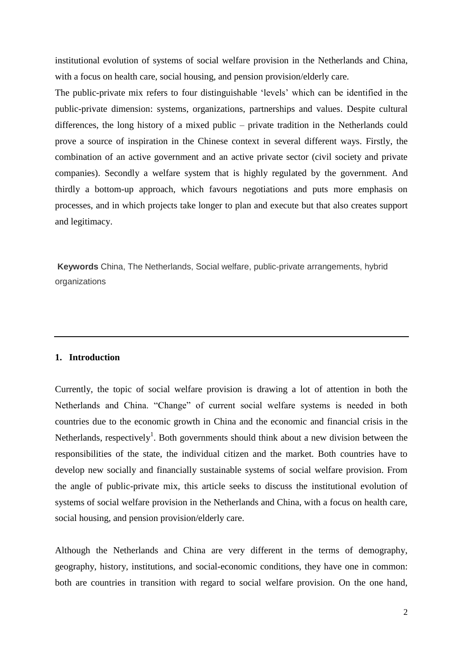institutional evolution of systems of social welfare provision in the Netherlands and China, with a focus on health care, social housing, and pension provision/elderly care.

The public-private mix refers to four distinguishable 'levels' which can be identified in the public-private dimension: systems, organizations, partnerships and values. Despite cultural differences, the long history of a mixed public – private tradition in the Netherlands could prove a source of inspiration in the Chinese context in several different ways. Firstly, the combination of an active government and an active private sector (civil society and private companies). Secondly a welfare system that is highly regulated by the government. And thirdly a bottom-up approach, which favours negotiations and puts more emphasis on processes, and in which projects take longer to plan and execute but that also creates support and legitimacy.

**Keywords** China, The Netherlands, Social welfare, public-private arrangements, hybrid organizations

## **1. Introduction**

Currently, the topic of social welfare provision is drawing a lot of attention in both the Netherlands and China. "Change" of current social welfare systems is needed in both countries due to the economic growth in China and the economic and financial crisis in the Netherlands, respectively<sup>1</sup>. Both governments should think about a new division between the responsibilities of the state, the individual citizen and the market. Both countries have to develop new socially and financially sustainable systems of social welfare provision. From the angle of public-private mix, this article seeks to discuss the institutional evolution of systems of social welfare provision in the Netherlands and China, with a focus on health care, social housing, and pension provision/elderly care.

Although the Netherlands and China are very different in the terms of demography, geography, history, institutions, and social-economic conditions, they have one in common: both are countries in transition with regard to social welfare provision. On the one hand,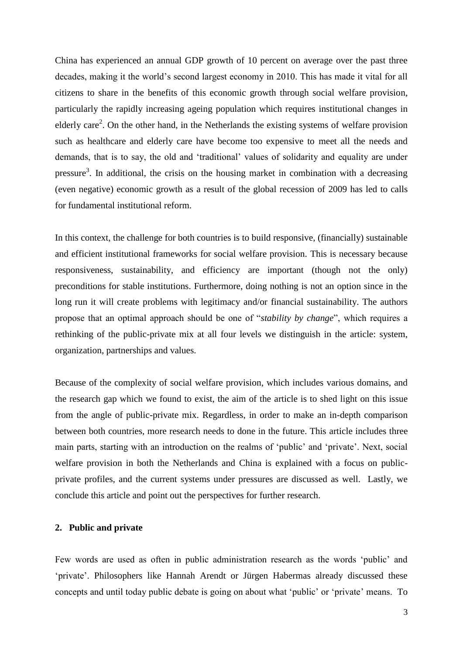China has experienced an annual GDP growth of 10 percent on average over the past three decades, making it the world's second largest economy in 2010. This has made it vital for all citizens to share in the benefits of this economic growth through social welfare provision, particularly the rapidly increasing ageing population which requires institutional changes in elderly care<sup>2</sup>. On the other hand, in the Netherlands the existing systems of welfare provision such as healthcare and elderly care have become too expensive to meet all the needs and demands, that is to say, the old and 'traditional' values of solidarity and equality are under pressure<sup>3</sup>. In additional, the crisis on the housing market in combination with a decreasing (even negative) economic growth as a result of the global recession of 2009 has led to calls for fundamental institutional reform.

In this context, the challenge for both countries is to build responsive, (financially) sustainable and efficient institutional frameworks for social welfare provision. This is necessary because responsiveness, sustainability, and efficiency are important (though not the only) preconditions for stable institutions. Furthermore, doing nothing is not an option since in the long run it will create problems with legitimacy and/or financial sustainability. The authors propose that an optimal approach should be one of "*stability by change*", which requires a rethinking of the public-private mix at all four levels we distinguish in the article: system, organization, partnerships and values.

Because of the complexity of social welfare provision, which includes various domains, and the research gap which we found to exist, the aim of the article is to shed light on this issue from the angle of public-private mix. Regardless, in order to make an in-depth comparison between both countries, more research needs to done in the future. This article includes three main parts, starting with an introduction on the realms of 'public' and 'private'. Next, social welfare provision in both the Netherlands and China is explained with a focus on publicprivate profiles, and the current systems under pressures are discussed as well. Lastly, we conclude this article and point out the perspectives for further research.

## **2. Public and private**

Few words are used as often in public administration research as the words 'public' and 'private'. Philosophers like Hannah Arendt or Jürgen Habermas already discussed these concepts and until today public debate is going on about what 'public' or 'private' means. To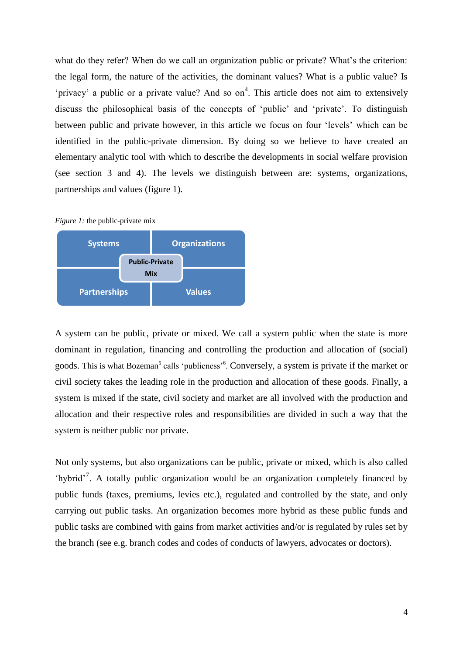what do they refer? When do we call an organization public or private? What's the criterion: the legal form, the nature of the activities, the dominant values? What is a public value? Is 'privacy' a public or a private value? And so  $on<sup>4</sup>$ . This article does not aim to extensively discuss the philosophical basis of the concepts of 'public' and 'private'. To distinguish between public and private however, in this article we focus on four 'levels' which can be identified in the public-private dimension. By doing so we believe to have created an elementary analytic tool with which to describe the developments in social welfare provision (see section 3 and 4). The levels we distinguish between are: systems, organizations, partnerships and values (figure 1).





A system can be public, private or mixed. We call a system public when the state is more dominant in regulation, financing and controlling the production and allocation of (social) goods. This is what Bozeman<sup>5</sup> calls 'publicness'<sup>6</sup>. Conversely, a system is private if the market or civil society takes the leading role in the production and allocation of these goods. Finally, a system is mixed if the state, civil society and market are all involved with the production and allocation and their respective roles and responsibilities are divided in such a way that the system is neither public nor private.

Not only systems, but also organizations can be public, private or mixed, which is also called 'hybrid'<sup>7</sup>. A totally public organization would be an organization completely financed by public funds (taxes, premiums, levies etc.), regulated and controlled by the state, and only carrying out public tasks. An organization becomes more hybrid as these public funds and public tasks are combined with gains from market activities and/or is regulated by rules set by the branch (see e.g. branch codes and codes of conducts of lawyers, advocates or doctors).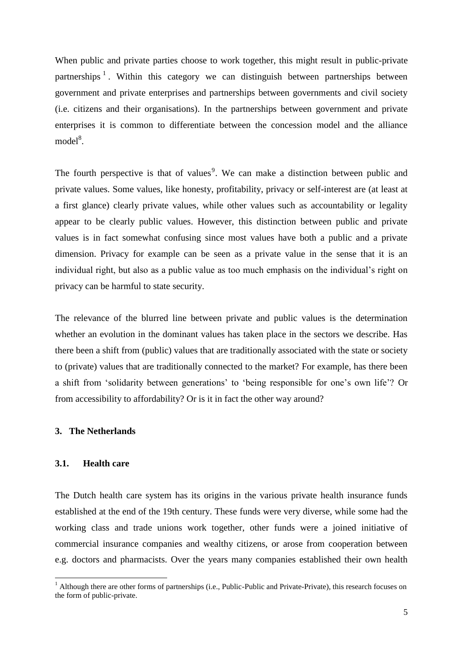When public and private parties choose to work together, this might result in public-private partnerships<sup>1</sup>. Within this category we can distinguish between partnerships between government and private enterprises and partnerships between governments and civil society (i.e. citizens and their organisations). In the partnerships between government and private enterprises it is common to differentiate between the concession model and the alliance model<sup>8</sup>.

The fourth perspective is that of values<sup>9</sup>. We can make a distinction between public and private values. Some values, like honesty, profitability, privacy or self-interest are (at least at a first glance) clearly private values, while other values such as accountability or legality appear to be clearly public values. However, this distinction between public and private values is in fact somewhat confusing since most values have both a public and a private dimension. Privacy for example can be seen as a private value in the sense that it is an individual right, but also as a public value as too much emphasis on the individual's right on privacy can be harmful to state security.

The relevance of the blurred line between private and public values is the determination whether an evolution in the dominant values has taken place in the sectors we describe. Has there been a shift from (public) values that are traditionally associated with the state or society to (private) values that are traditionally connected to the market? For example, has there been a shift from 'solidarity between generations' to 'being responsible for one's own life'? Or from accessibility to affordability? Or is it in fact the other way around?

## **3. The Netherlands**

## **3.1. Health care**

1

The Dutch health care system has its origins in the various private health insurance funds established at the end of the 19th century. These funds were very diverse, while some had the working class and trade unions work together, other funds were a joined initiative of commercial insurance companies and wealthy citizens, or arose from cooperation between e.g. doctors and pharmacists. Over the years many companies established their own health

 $<sup>1</sup>$  Although there are other forms of partnerships (i.e., Public-Public and Private-Private), this research focuses on</sup> the form of public-private.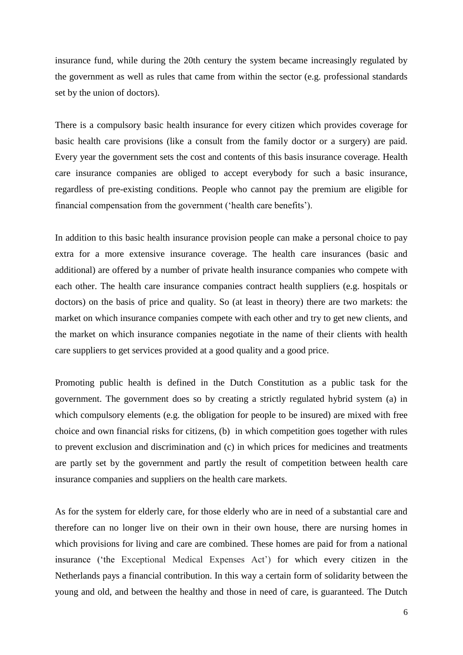insurance fund, while during the 20th century the system became increasingly regulated by the government as well as rules that came from within the sector (e.g. professional standards set by the union of doctors).

There is a compulsory basic health insurance for every citizen which provides coverage for basic health care provisions (like a consult from the family doctor or a surgery) are paid. Every year the government sets the cost and contents of this basis insurance coverage. Health care insurance companies are obliged to accept everybody for such a basic insurance, regardless of pre-existing conditions. People who cannot pay the premium are eligible for financial compensation from the government ('health care benefits').

In addition to this basic health insurance provision people can make a personal choice to pay extra for a more extensive insurance coverage. The health care insurances (basic and additional) are offered by a number of private health insurance companies who compete with each other. The health care insurance companies contract health suppliers (e.g. hospitals or doctors) on the basis of price and quality. So (at least in theory) there are two markets: the market on which insurance companies compete with each other and try to get new clients, and the market on which insurance companies negotiate in the name of their clients with health care suppliers to get services provided at a good quality and a good price.

Promoting public health is defined in the Dutch Constitution as a public task for the government. The government does so by creating a strictly regulated hybrid system (a) in which compulsory elements (e.g. the obligation for people to be insured) are mixed with free choice and own financial risks for citizens, (b) in which competition goes together with rules to prevent exclusion and discrimination and (c) in which prices for medicines and treatments are partly set by the government and partly the result of competition between health care insurance companies and suppliers on the health care markets.

As for the system for elderly care, for those elderly who are in need of a substantial care and therefore can no longer live on their own in their own house, there are nursing homes in which provisions for living and care are combined. These homes are paid for from a national insurance ('the Exceptional Medical Expenses Act') for which every citizen in the Netherlands pays a financial contribution. In this way a certain form of solidarity between the young and old, and between the healthy and those in need of care, is guaranteed. The Dutch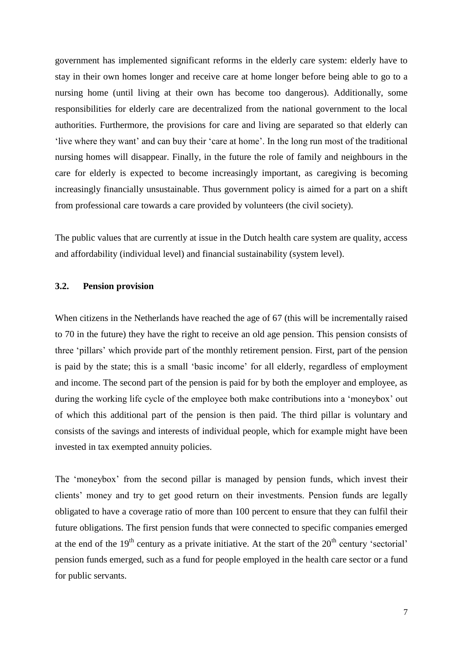government has implemented significant reforms in the elderly care system: elderly have to stay in their own homes longer and receive care at home longer before being able to go to a nursing home (until living at their own has become too dangerous). Additionally, some responsibilities for elderly care are decentralized from the national government to the local authorities. Furthermore, the provisions for care and living are separated so that elderly can 'live where they want' and can buy their 'care at home'. In the long run most of the traditional nursing homes will disappear. Finally, in the future the role of family and neighbours in the care for elderly is expected to become increasingly important, as caregiving is becoming increasingly financially unsustainable. Thus government policy is aimed for a part on a shift from professional care towards a care provided by volunteers (the civil society).

The public values that are currently at issue in the Dutch health care system are quality, access and affordability (individual level) and financial sustainability (system level).

## **3.2. Pension provision**

When citizens in the Netherlands have reached the age of 67 (this will be incrementally raised to 70 in the future) they have the right to receive an old age pension. This pension consists of three 'pillars' which provide part of the monthly retirement pension. First, part of the pension is paid by the state; this is a small 'basic income' for all elderly, regardless of employment and income. The second part of the pension is paid for by both the employer and employee, as during the working life cycle of the employee both make contributions into a 'moneybox' out of which this additional part of the pension is then paid. The third pillar is voluntary and consists of the savings and interests of individual people, which for example might have been invested in tax exempted annuity policies.

The 'moneybox' from the second pillar is managed by pension funds, which invest their clients' money and try to get good return on their investments. Pension funds are legally obligated to have a coverage ratio of more than 100 percent to ensure that they can fulfil their future obligations. The first pension funds that were connected to specific companies emerged at the end of the  $19<sup>th</sup>$  century as a private initiative. At the start of the  $20<sup>th</sup>$  century 'sectorial' pension funds emerged, such as a fund for people employed in the health care sector or a fund for public servants.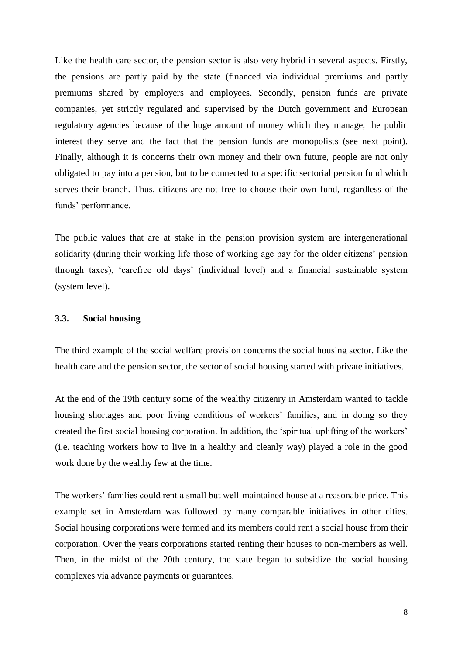Like the health care sector, the pension sector is also very hybrid in several aspects. Firstly, the pensions are partly paid by the state (financed via individual premiums and partly premiums shared by employers and employees. Secondly, pension funds are private companies, yet strictly regulated and supervised by the Dutch government and European regulatory agencies because of the huge amount of money which they manage, the public interest they serve and the fact that the pension funds are monopolists (see next point). Finally, although it is concerns their own money and their own future, people are not only obligated to pay into a pension, but to be connected to a specific sectorial pension fund which serves their branch. Thus, citizens are not free to choose their own fund, regardless of the funds' performance.

The public values that are at stake in the pension provision system are intergenerational solidarity (during their working life those of working age pay for the older citizens' pension through taxes), 'carefree old days' (individual level) and a financial sustainable system (system level).

## **3.3. Social housing**

The third example of the social welfare provision concerns the social housing sector. Like the health care and the pension sector, the sector of social housing started with private initiatives.

At the end of the 19th century some of the wealthy citizenry in Amsterdam wanted to tackle housing shortages and poor living conditions of workers' families, and in doing so they created the first social housing corporation. In addition, the 'spiritual uplifting of the workers' (i.e. teaching workers how to live in a healthy and cleanly way) played a role in the good work done by the wealthy few at the time.

The workers' families could rent a small but well-maintained house at a reasonable price. This example set in Amsterdam was followed by many comparable initiatives in other cities. Social housing corporations were formed and its members could rent a social house from their corporation. Over the years corporations started renting their houses to non-members as well. Then, in the midst of the 20th century, the state began to subsidize the social housing complexes via advance payments or guarantees.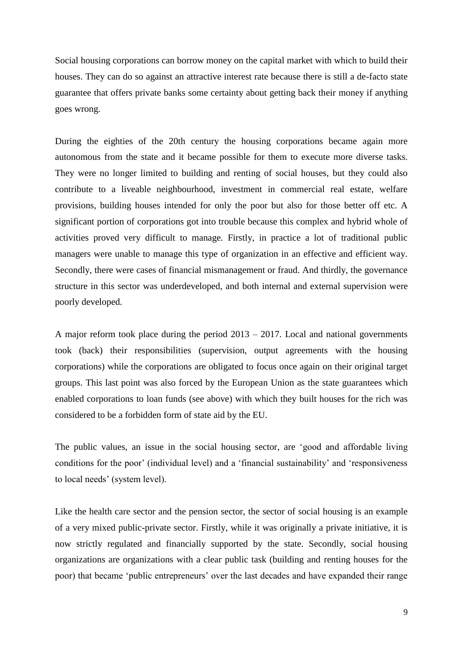Social housing corporations can borrow money on the capital market with which to build their houses. They can do so against an attractive interest rate because there is still a de-facto state guarantee that offers private banks some certainty about getting back their money if anything goes wrong.

During the eighties of the 20th century the housing corporations became again more autonomous from the state and it became possible for them to execute more diverse tasks. They were no longer limited to building and renting of social houses, but they could also contribute to a liveable neighbourhood, investment in commercial real estate, welfare provisions, building houses intended for only the poor but also for those better off etc. A significant portion of corporations got into trouble because this complex and hybrid whole of activities proved very difficult to manage. Firstly, in practice a lot of traditional public managers were unable to manage this type of organization in an effective and efficient way. Secondly, there were cases of financial mismanagement or fraud. And thirdly, the governance structure in this sector was underdeveloped, and both internal and external supervision were poorly developed.

A major reform took place during the period 2013 – 2017. Local and national governments took (back) their responsibilities (supervision, output agreements with the housing corporations) while the corporations are obligated to focus once again on their original target groups. This last point was also forced by the European Union as the state guarantees which enabled corporations to loan funds (see above) with which they built houses for the rich was considered to be a forbidden form of state aid by the EU.

The public values, an issue in the social housing sector, are 'good and affordable living conditions for the poor' (individual level) and a 'financial sustainability' and 'responsiveness to local needs' (system level).

Like the health care sector and the pension sector, the sector of social housing is an example of a very mixed public-private sector. Firstly, while it was originally a private initiative, it is now strictly regulated and financially supported by the state. Secondly, social housing organizations are organizations with a clear public task (building and renting houses for the poor) that became 'public entrepreneurs' over the last decades and have expanded their range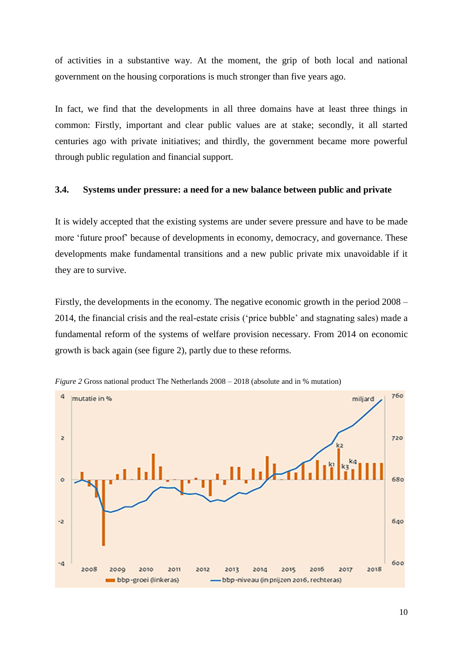of activities in a substantive way. At the moment, the grip of both local and national government on the housing corporations is much stronger than five years ago.

In fact, we find that the developments in all three domains have at least three things in common: Firstly, important and clear public values are at stake; secondly, it all started centuries ago with private initiatives; and thirdly, the government became more powerful through public regulation and financial support.

## **3.4. Systems under pressure: a need for a new balance between public and private**

It is widely accepted that the existing systems are under severe pressure and have to be made more 'future proof' because of developments in economy, democracy, and governance. These developments make fundamental transitions and a new public private mix unavoidable if it they are to survive.

Firstly, the developments in the economy. The negative economic growth in the period 2008 – 2014, the financial crisis and the real-estate crisis ('price bubble' and stagnating sales) made a fundamental reform of the systems of welfare provision necessary. From 2014 on economic growth is back again (see figure 2), partly due to these reforms.



*Figure 2* Gross national product The Netherlands 2008 – 2018 (absolute and in % mutation)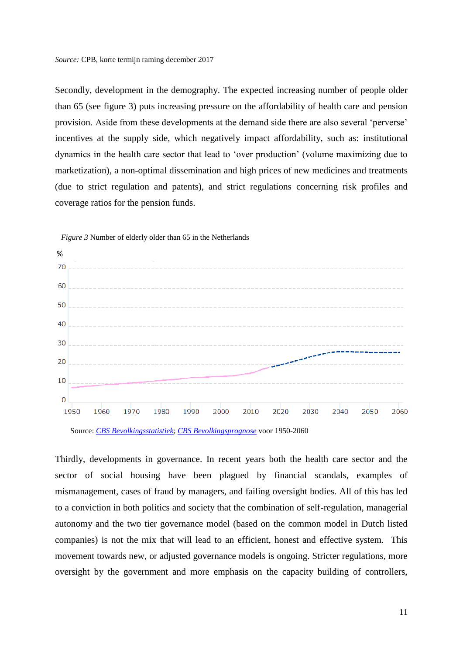Secondly, development in the demography. The expected increasing number of people older than 65 (see figure 3) puts increasing pressure on the affordability of health care and pension provision. Aside from these developments at the demand side there are also several 'perverse' incentives at the supply side, which negatively impact affordability, such as: institutional dynamics in the health care sector that lead to 'over production' (volume maximizing due to marketization), a non-optimal dissemination and high prices of new medicines and treatments (due to strict regulation and patents), and strict regulations concerning risk profiles and coverage ratios for the pension funds.



*Figure 3* Number of elderly older than 65 in the Netherlands

Thirdly, developments in governance. In recent years both the health care sector and the sector of social housing have been plagued by financial scandals, examples of mismanagement, cases of fraud by managers, and failing oversight bodies. All of this has led to a conviction in both politics and society that the combination of self-regulation, managerial autonomy and the two tier governance model (based on the common model in Dutch listed companies) is not the mix that will lead to an efficient, honest and effective system. This movement towards new, or adjusted governance models is ongoing. Stricter regulations, more oversight by the government and more emphasis on the capacity building of controllers,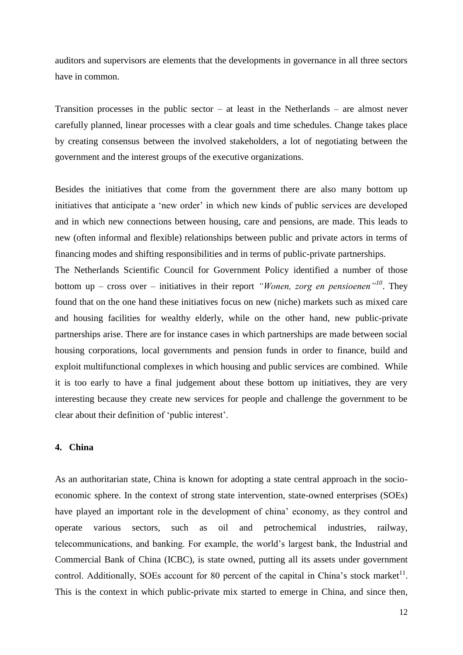auditors and supervisors are elements that the developments in governance in all three sectors have in common.

Transition processes in the public sector – at least in the Netherlands – are almost never carefully planned, linear processes with a clear goals and time schedules. Change takes place by creating consensus between the involved stakeholders, a lot of negotiating between the government and the interest groups of the executive organizations.

Besides the initiatives that come from the government there are also many bottom up initiatives that anticipate a 'new order' in which new kinds of public services are developed and in which new connections between housing, care and pensions, are made. This leads to new (often informal and flexible) relationships between public and private actors in terms of financing modes and shifting responsibilities and in terms of public-private partnerships.

The Netherlands Scientific Council for Government Policy identified a number of those bottom up – cross over – initiatives in their report *"Wonen, zorg en pensioenen"<sup>10</sup>*. They found that on the one hand these initiatives focus on new (niche) markets such as mixed care and housing facilities for wealthy elderly, while on the other hand, new public-private partnerships arise. There are for instance cases in which partnerships are made between social housing corporations, local governments and pension funds in order to finance, build and exploit multifunctional complexes in which housing and public services are combined. While it is too early to have a final judgement about these bottom up initiatives, they are very interesting because they create new services for people and challenge the government to be clear about their definition of 'public interest'.

#### **4. China**

As an authoritarian state, China is known for adopting a state central approach in the socioeconomic sphere. In the context of strong state intervention, state-owned enterprises (SOEs) have played an important role in the development of china' economy, as they control and operate various sectors, such as oil and petrochemical industries, railway, telecommunications, and banking. For example, the world's largest bank, the Industrial and Commercial Bank of China (ICBC), is state owned, putting all its assets under government control. Additionally, SOEs account for 80 percent of the capital in China's stock market $11$ . This is the context in which public-private mix started to emerge in China, and since then,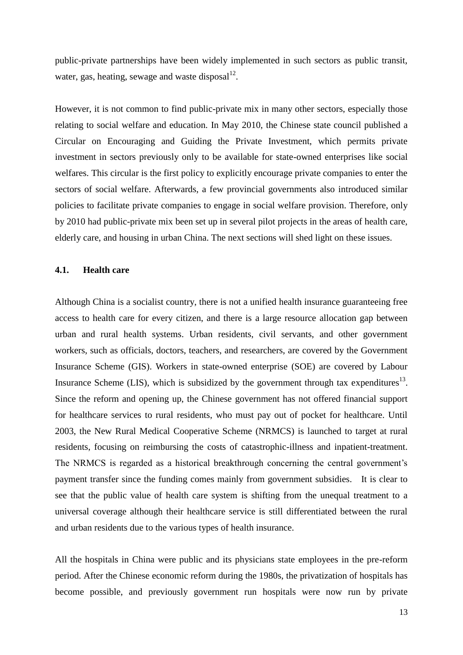public-private partnerships have been widely implemented in such sectors as public transit, water, gas, heating, sewage and waste disposal $^{12}$ .

However, it is not common to find public-private mix in many other sectors, especially those relating to social welfare and education. In May 2010, the Chinese state council published a Circular on Encouraging and Guiding the Private Investment, which permits private investment in sectors previously only to be available for state-owned enterprises like social welfares. This circular is the first policy to explicitly encourage private companies to enter the sectors of social welfare. Afterwards, a few provincial governments also introduced similar policies to facilitate private companies to engage in social welfare provision. Therefore, only by 2010 had public-private mix been set up in several pilot projects in the areas of health care, elderly care, and housing in urban China. The next sections will shed light on these issues.

## **4.1. Health care**

Although China is a socialist country, there is not a unified health insurance guaranteeing free access to health care for every citizen, and there is a large resource allocation gap between urban and rural health systems. Urban residents, civil servants, and other government workers, such as officials, doctors, teachers, and researchers, are covered by the Government Insurance Scheme (GIS). Workers in state-owned enterprise (SOE) are covered by Labour Insurance Scheme (LIS), which is subsidized by the government through tax expenditures<sup>13</sup>. Since the reform and opening up, the Chinese government has not offered financial support for healthcare services to rural residents, who must pay out of pocket for healthcare. Until 2003, the New Rural Medical Cooperative Scheme (NRMCS) is launched to target at rural residents, focusing on reimbursing the costs of catastrophic-illness and inpatient-treatment. The NRMCS is regarded as a historical breakthrough concerning the central government's payment transfer since the funding comes mainly from government subsidies. It is clear to see that the public value of health care system is shifting from the unequal treatment to a universal coverage although their healthcare service is still differentiated between the rural and urban residents due to the various types of health insurance.

All the hospitals in China were public and its physicians state employees in the pre-reform period. After the Chinese economic reform during the 1980s, the privatization of hospitals has become possible, and previously government run hospitals were now run by private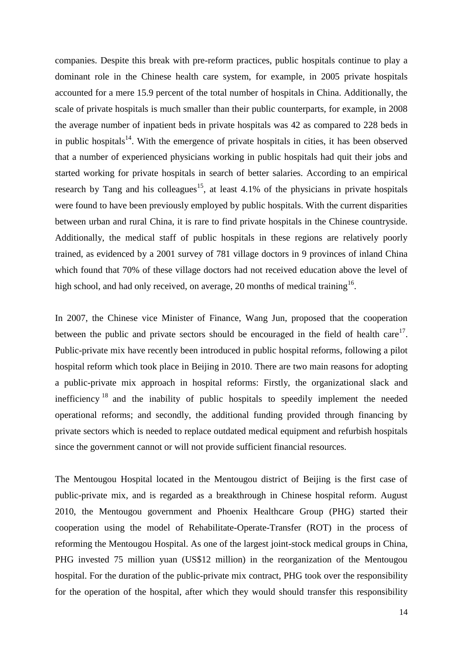companies. Despite this break with pre-reform practices, public hospitals continue to play a dominant role in the Chinese health care system, for example, in 2005 private hospitals accounted for a mere 15.9 percent of the total number of hospitals in China. Additionally, the scale of private hospitals is much smaller than their public counterparts, for example, in 2008 the average number of inpatient beds in private hospitals was 42 as compared to 228 beds in in public hospitals<sup>14</sup>. With the emergence of private hospitals in cities, it has been observed that a number of experienced physicians working in public hospitals had quit their jobs and started working for private hospitals in search of better salaries. According to an empirical research by Tang and his colleagues<sup>15</sup>, at least 4.1% of the physicians in private hospitals were found to have been previously employed by public hospitals. With the current disparities between urban and rural China, it is rare to find private hospitals in the Chinese countryside. Additionally, the medical staff of public hospitals in these regions are relatively poorly trained, as evidenced by a 2001 survey of 781 village doctors in 9 provinces of inland China which found that 70% of these village doctors had not received education above the level of high school, and had only received, on average, 20 months of medical training<sup>16</sup>.

In 2007, the Chinese vice Minister of Finance, Wang Jun, proposed that the cooperation between the public and private sectors should be encouraged in the field of health care<sup>17</sup>. Public-private mix have recently been introduced in public hospital reforms, following a pilot hospital reform which took place in Beijing in 2010. There are two main reasons for adopting a public-private mix approach in hospital reforms: Firstly, the organizational slack and inefficiency  $18$  and the inability of public hospitals to speedily implement the needed operational reforms; and secondly, the additional funding provided through financing by private sectors which is needed to replace outdated medical equipment and refurbish hospitals since the government cannot or will not provide sufficient financial resources.

The Mentougou Hospital located in the Mentougou district of Beijing is the first case of public-private mix, and is regarded as a breakthrough in Chinese hospital reform. August 2010, the Mentougou government and Phoenix Healthcare Group (PHG) started their cooperation using the model of Rehabilitate-Operate-Transfer (ROT) in the process of reforming the Mentougou Hospital. As one of the largest joint-stock medical groups in China, PHG invested 75 million yuan (US\$12 million) in the reorganization of the Mentougou hospital. For the duration of the public-private mix contract, PHG took over the responsibility for the operation of the hospital, after which they would should transfer this responsibility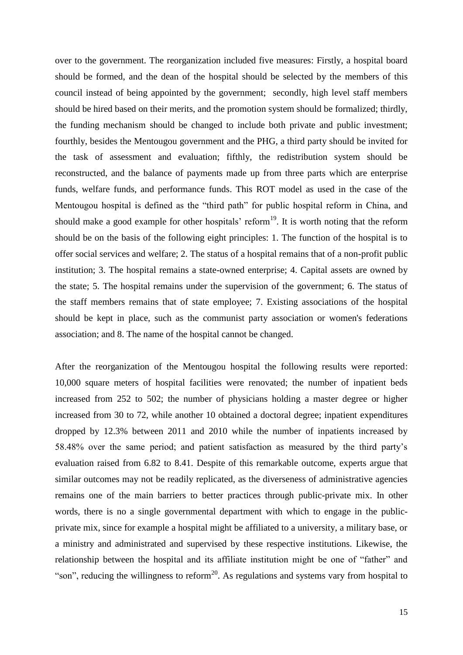over to the government. The reorganization included five measures: Firstly, a hospital board should be formed, and the dean of the hospital should be selected by the members of this council instead of being appointed by the government; secondly, high level staff members should be hired based on their merits, and the promotion system should be formalized; thirdly, the funding mechanism should be changed to include both private and public investment; fourthly, besides the Mentougou government and the PHG, a third party should be invited for the task of assessment and evaluation; fifthly, the redistribution system should be reconstructed, and the balance of payments made up from three parts which are enterprise funds, welfare funds, and performance funds. This ROT model as used in the case of the Mentougou hospital is defined as the "third path" for public hospital reform in China, and should make a good example for other hospitals' reform $19$ . It is worth noting that the reform should be on the basis of the following eight principles: 1. The function of the hospital is to offer social services and welfare; 2. The status of a hospital remains that of a non-profit public institution; 3. The hospital remains a state-owned enterprise; 4. Capital assets are owned by the state; 5. The hospital remains under the supervision of the government; 6. The status of the staff members remains that of state employee; 7. Existing associations of the hospital should be kept in place, such as the communist party association or women's federations association; and 8. The name of the hospital cannot be changed.

After the reorganization of the Mentougou hospital the following results were reported: 10,000 square meters of hospital facilities were renovated; the number of inpatient beds increased from 252 to 502; the number of physicians holding a master degree or higher increased from 30 to 72, while another 10 obtained a doctoral degree; inpatient expenditures dropped by 12.3% between 2011 and 2010 while the number of inpatients increased by 58.48% over the same period; and patient satisfaction as measured by the third party's evaluation raised from 6.82 to 8.41. Despite of this remarkable outcome, experts argue that similar outcomes may not be readily replicated, as the diverseness of administrative agencies remains one of the main barriers to better practices through public-private mix. In other words, there is no a single governmental department with which to engage in the publicprivate mix, since for example a hospital might be affiliated to a university, a military base, or a ministry and administrated and supervised by these respective institutions. Likewise, the relationship between the hospital and its affiliate institution might be one of "father" and "son", reducing the willingness to reform<sup>20</sup>. As regulations and systems vary from hospital to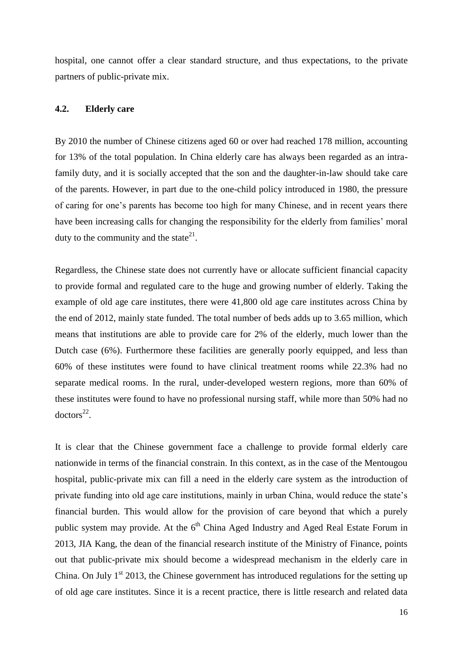hospital, one cannot offer a clear standard structure, and thus expectations, to the private partners of public-private mix.

## **4.2. Elderly care**

By 2010 the number of Chinese citizens aged 60 or over had reached 178 million, accounting for 13% of the total population. In China elderly care has always been regarded as an intrafamily duty, and it is socially accepted that the son and the daughter-in-law should take care of the parents. However, in part due to the one-child policy introduced in 1980, the pressure of caring for one's parents has become too high for many Chinese, and in recent years there have been increasing calls for changing the responsibility for the elderly from families' moral duty to the community and the state<sup>21</sup>.

Regardless, the Chinese state does not currently have or allocate sufficient financial capacity to provide formal and regulated care to the huge and growing number of elderly. Taking the example of old age care institutes, there were 41,800 old age care institutes across China by the end of 2012, mainly state funded. The total number of beds adds up to 3.65 million, which means that institutions are able to provide care for 2% of the elderly, much lower than the Dutch case (6%). Furthermore these facilities are generally poorly equipped, and less than 60% of these institutes were found to have clinical treatment rooms while 22.3% had no separate medical rooms. In the rural, under-developed western regions, more than 60% of these institutes were found to have no professional nursing staff, while more than 50% had no  $dotors<sup>22</sup>$ .

It is clear that the Chinese government face a challenge to provide formal elderly care nationwide in terms of the financial constrain. In this context, as in the case of the Mentougou hospital, public-private mix can fill a need in the elderly care system as the introduction of private funding into old age care institutions, mainly in urban China, would reduce the state's financial burden. This would allow for the provision of care beyond that which a purely public system may provide. At the 6<sup>th</sup> China Aged Industry and Aged Real Estate Forum in 2013, JIA Kang, the dean of the financial research institute of the Ministry of Finance, points out that public-private mix should become a widespread mechanism in the elderly care in China. On July  $1<sup>st</sup>$  2013, the Chinese government has introduced regulations for the setting up of old age care institutes. Since it is a recent practice, there is little research and related data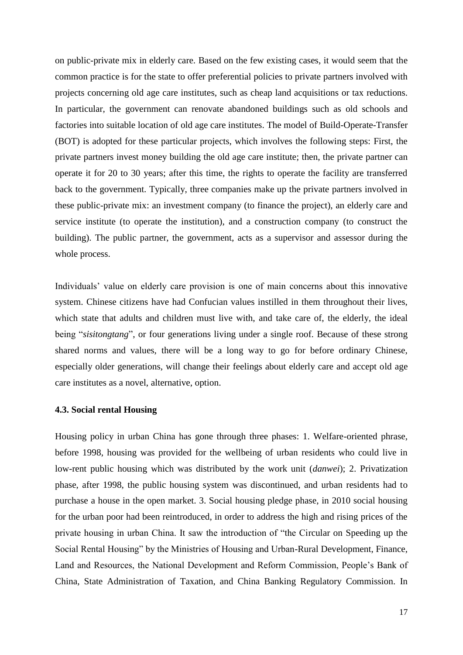on public-private mix in elderly care. Based on the few existing cases, it would seem that the common practice is for the state to offer preferential policies to private partners involved with projects concerning old age care institutes, such as cheap land acquisitions or tax reductions. In particular, the government can renovate abandoned buildings such as old schools and factories into suitable location of old age care institutes. The model of Build-Operate-Transfer (BOT) is adopted for these particular projects, which involves the following steps: First, the private partners invest money building the old age care institute; then, the private partner can operate it for 20 to 30 years; after this time, the rights to operate the facility are transferred back to the government. Typically, three companies make up the private partners involved in these public-private mix: an investment company (to finance the project), an elderly care and service institute (to operate the institution), and a construction company (to construct the building). The public partner, the government, acts as a supervisor and assessor during the whole process.

Individuals' value on elderly care provision is one of main concerns about this innovative system. Chinese citizens have had Confucian values instilled in them throughout their lives, which state that adults and children must live with, and take care of, the elderly, the ideal being "*sisitongtang*", or four generations living under a single roof. Because of these strong shared norms and values, there will be a long way to go for before ordinary Chinese, especially older generations, will change their feelings about elderly care and accept old age care institutes as a novel, alternative, option.

#### **4.3. Social rental Housing**

Housing policy in urban China has gone through three phases: 1. Welfare-oriented phrase, before 1998, housing was provided for the wellbeing of urban residents who could live in low-rent public housing which was distributed by the work unit (*danwei*); 2. Privatization phase, after 1998, the public housing system was discontinued, and urban residents had to purchase a house in the open market. 3. Social housing pledge phase, in 2010 social housing for the urban poor had been reintroduced, in order to address the high and rising prices of the private housing in urban China. It saw the introduction of "the Circular on Speeding up the Social Rental Housing" by the Ministries of Housing and Urban-Rural Development, Finance, Land and Resources, the National Development and Reform Commission, People's Bank of China, State Administration of Taxation, and China Banking Regulatory Commission. In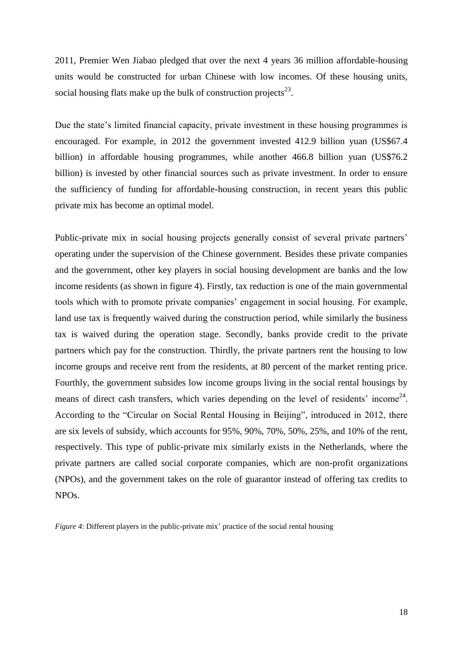2011, Premier Wen Jiabao pledged that over the next 4 years 36 million affordable-housing units would be constructed for urban Chinese with low incomes. Of these housing units, social housing flats make up the bulk of construction projects $^{23}$ .

Due the state's limited financial capacity, private investment in these housing programmes is encouraged. For example, in 2012 the government invested 412.9 billion yuan (US\$67.4 billion) in affordable housing programmes, while another 466.8 billion yuan (US\$76.2 billion) is invested by other financial sources such as private investment. In order to ensure the sufficiency of funding for affordable-housing construction, in recent years this public private mix has become an optimal model.

Public-private mix in social housing projects generally consist of several private partners' operating under the supervision of the Chinese government. Besides these private companies and the government, other key players in social housing development are banks and the low income residents (as shown in figure 4). Firstly, tax reduction is one of the main governmental tools which with to promote private companies' engagement in social housing. For example, land use tax is frequently waived during the construction period, while similarly the business tax is waived during the operation stage. Secondly, banks provide credit to the private partners which pay for the construction. Thirdly, the private partners rent the housing to low income groups and receive rent from the residents, at 80 percent of the market renting price. Fourthly, the government subsides low income groups living in the social rental housings by means of direct cash transfers, which varies depending on the level of residents' income<sup>24</sup>. According to the "Circular on Social Rental Housing in Beijing", introduced in 2012, there are six levels of subsidy, which accounts for 95%, 90%, 70%, 50%, 25%, and 10% of the rent, respectively. This type of public-private mix similarly exists in the Netherlands, where the private partners are called social corporate companies, which are non-profit organizations (NPOs), and the government takes on the role of guarantor instead of offering tax credits to NPOs.

*Figure 4*: Different players in the public-private mix' practice of the social rental housing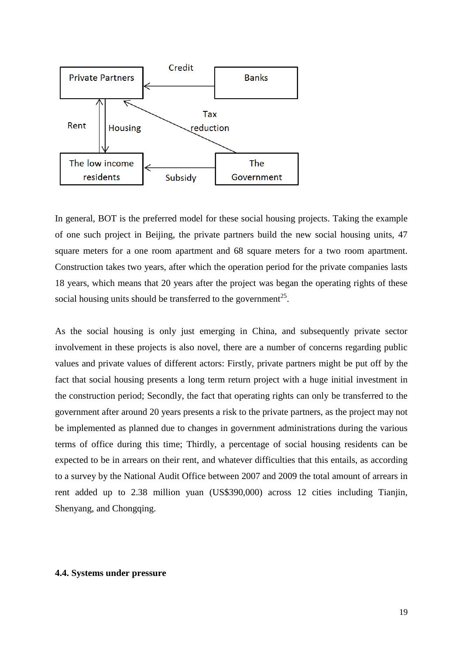

In general, BOT is the preferred model for these social housing projects. Taking the example of one such project in Beijing, the private partners build the new social housing units, 47 square meters for a one room apartment and 68 square meters for a two room apartment. Construction takes two years, after which the operation period for the private companies lasts 18 years, which means that 20 years after the project was began the operating rights of these social housing units should be transferred to the government<sup>25</sup>.

As the social housing is only just emerging in China, and subsequently private sector involvement in these projects is also novel, there are a number of concerns regarding public values and private values of different actors: Firstly, private partners might be put off by the fact that social housing presents a long term return project with a huge initial investment in the construction period; Secondly, the fact that operating rights can only be transferred to the government after around 20 years presents a risk to the private partners, as the project may not be implemented as planned due to changes in government administrations during the various terms of office during this time; Thirdly, a percentage of social housing residents can be expected to be in arrears on their rent, and whatever difficulties that this entails, as according to a survey by the National Audit Office between 2007 and 2009 the total amount of arrears in rent added up to 2.38 million yuan (US\$390,000) across 12 cities including Tianjin, Shenyang, and Chongqing.

#### **4.4. Systems under pressure**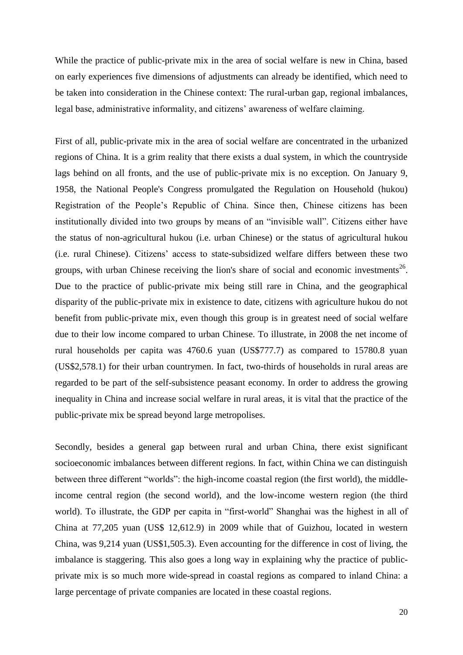While the practice of public-private mix in the area of social welfare is new in China, based on early experiences five dimensions of adjustments can already be identified, which need to be taken into consideration in the Chinese context: The rural-urban gap, regional imbalances, legal base, administrative informality, and citizens' awareness of welfare claiming.

First of all, public-private mix in the area of social welfare are concentrated in the urbanized regions of China. It is a grim reality that there exists a dual system, in which the countryside lags behind on all fronts, and the use of public-private mix is no exception. On January 9, 1958, the National People's Congress promulgated the Regulation on Household (hukou) Registration of the People's Republic of China. Since then, Chinese citizens has been institutionally divided into two groups by means of an "invisible wall". Citizens either have the status of non-agricultural hukou (i.e. urban Chinese) or the status of agricultural hukou (i.e. rural Chinese). Citizens' access to state-subsidized welfare differs between these two groups, with urban Chinese receiving the lion's share of social and economic investments<sup>26</sup>. Due to the practice of public-private mix being still rare in China, and the geographical disparity of the public-private mix in existence to date, citizens with agriculture hukou do not benefit from public-private mix, even though this group is in greatest need of social welfare due to their low income compared to urban Chinese. To illustrate, in 2008 the net income of rural households per capita was 4760.6 yuan (US\$777.7) as compared to 15780.8 yuan (US\$2,578.1) for their urban countrymen. In fact, two-thirds of households in rural areas are regarded to be part of the self-subsistence peasant economy. In order to address the growing inequality in China and increase social welfare in rural areas, it is vital that the practice of the public-private mix be spread beyond large metropolises.

Secondly, besides a general gap between rural and urban China, there exist significant socioeconomic imbalances between different regions. In fact, within China we can distinguish between three different "worlds": the high-income coastal region (the first world), the middleincome central region (the second world), and the low-income western region (the third world). To illustrate, the GDP per capita in "first-world" Shanghai was the highest in all of China at 77,205 yuan (US\$ 12,612.9) in 2009 while that of Guizhou, located in western China, was 9,214 yuan (US\$1,505.3). Even accounting for the difference in cost of living, the imbalance is staggering. This also goes a long way in explaining why the practice of publicprivate mix is so much more wide-spread in coastal regions as compared to inland China: a large percentage of private companies are located in these coastal regions.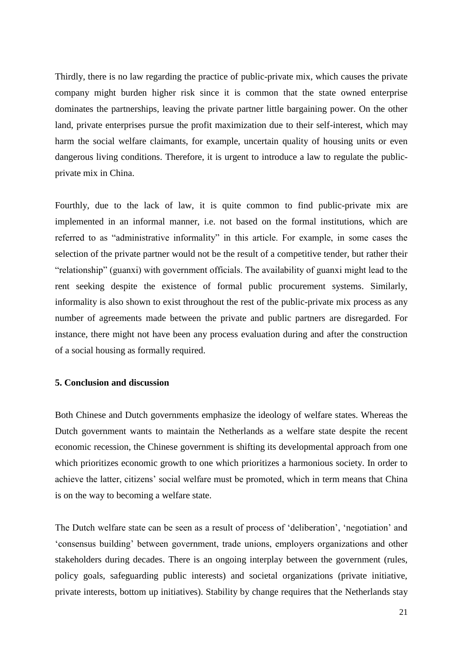Thirdly, there is no law regarding the practice of public-private mix, which causes the private company might burden higher risk since it is common that the state owned enterprise dominates the partnerships, leaving the private partner little bargaining power. On the other land, private enterprises pursue the profit maximization due to their self-interest, which may harm the social welfare claimants, for example, uncertain quality of housing units or even dangerous living conditions. Therefore, it is urgent to introduce a law to regulate the publicprivate mix in China.

Fourthly, due to the lack of law, it is quite common to find public-private mix are implemented in an informal manner, i.e. not based on the formal institutions, which are referred to as "administrative informality" in this article. For example, in some cases the selection of the private partner would not be the result of a competitive tender, but rather their "relationship" (guanxi) with government officials. The availability of guanxi might lead to the rent seeking despite the existence of formal public procurement systems. Similarly, informality is also shown to exist throughout the rest of the public-private mix process as any number of agreements made between the private and public partners are disregarded. For instance, there might not have been any process evaluation during and after the construction of a social housing as formally required.

## **5. Conclusion and discussion**

Both Chinese and Dutch governments emphasize the ideology of welfare states. Whereas the Dutch government wants to maintain the Netherlands as a welfare state despite the recent economic recession, the Chinese government is shifting its developmental approach from one which prioritizes economic growth to one which prioritizes a harmonious society. In order to achieve the latter, citizens' social welfare must be promoted, which in term means that China is on the way to becoming a welfare state.

The Dutch welfare state can be seen as a result of process of 'deliberation', 'negotiation' and 'consensus building' between government, trade unions, employers organizations and other stakeholders during decades. There is an ongoing interplay between the government (rules, policy goals, safeguarding public interests) and societal organizations (private initiative, private interests, bottom up initiatives). Stability by change requires that the Netherlands stay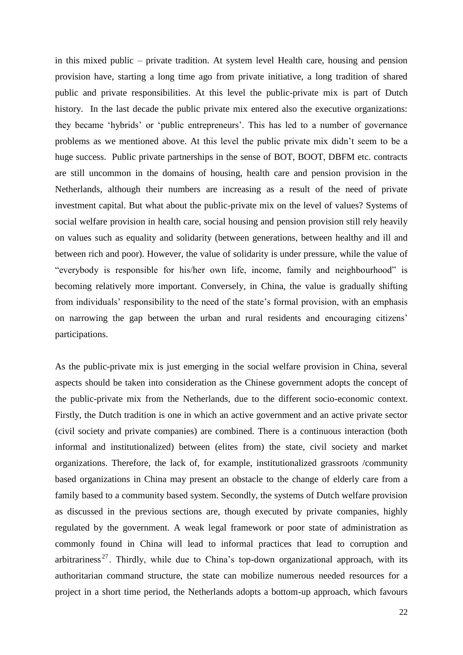in this mixed public – private tradition. At system level Health care, housing and pension provision have, starting a long time ago from private initiative, a long tradition of shared public and private responsibilities. At this level the public-private mix is part of Dutch history. In the last decade the public private mix entered also the executive organizations: they became 'hybrids' or 'public entrepreneurs'. This has led to a number of governance problems as we mentioned above. At this level the public private mix didn't seem to be a huge success. Public private partnerships in the sense of BOT, BOOT, DBFM etc. contracts are still uncommon in the domains of housing, health care and pension provision in the Netherlands, although their numbers are increasing as a result of the need of private investment capital. But what about the public-private mix on the level of values? Systems of social welfare provision in health care, social housing and pension provision still rely heavily on values such as equality and solidarity (between generations, between healthy and ill and between rich and poor). However, the value of solidarity is under pressure, while the value of "everybody is responsible for his/her own life, income, family and neighbourhood" is becoming relatively more important. Conversely, in China, the value is gradually shifting from individuals' responsibility to the need of the state's formal provision, with an emphasis on narrowing the gap between the urban and rural residents and encouraging citizens' participations.

As the public-private mix is just emerging in the social welfare provision in China, several aspects should be taken into consideration as the Chinese government adopts the concept of the public-private mix from the Netherlands, due to the different socio-economic context. Firstly, the Dutch tradition is one in which an active government and an active private sector (civil society and private companies) are combined. There is a continuous interaction (both informal and institutionalized) between (elites from) the state, civil society and market organizations. Therefore, the lack of, for example, institutionalized grassroots /community based organizations in China may present an obstacle to the change of elderly care from a family based to a community based system. Secondly, the systems of Dutch welfare provision as discussed in the previous sections are, though executed by private companies, highly regulated by the government. A weak legal framework or poor state of administration as commonly found in China will lead to informal practices that lead to corruption and arbitrariness<sup>27</sup>. Thirdly, while due to China's top-down organizational approach, with its authoritarian command structure, the state can mobilize numerous needed resources for a project in a short time period, the Netherlands adopts a bottom-up approach, which favours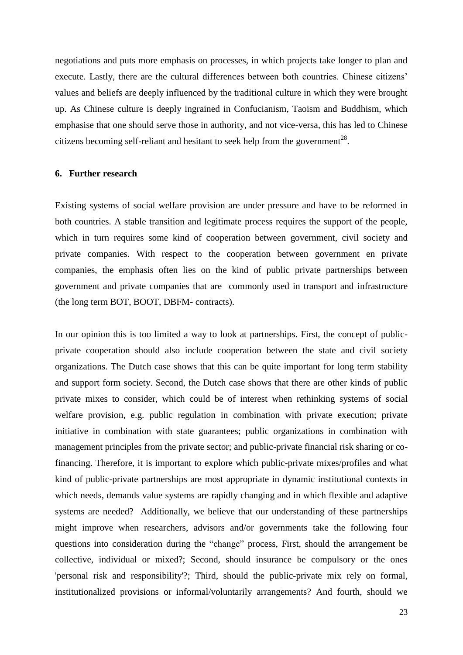negotiations and puts more emphasis on processes, in which projects take longer to plan and execute. Lastly, there are the cultural differences between both countries. Chinese citizens' values and beliefs are deeply influenced by the traditional culture in which they were brought up. As Chinese culture is deeply ingrained in Confucianism, Taoism and Buddhism, which emphasise that one should serve those in authority, and not vice-versa, this has led to Chinese citizens becoming self-reliant and hesitant to seek help from the government<sup>28</sup>.

#### **6. Further research**

Existing systems of social welfare provision are under pressure and have to be reformed in both countries. A stable transition and legitimate process requires the support of the people, which in turn requires some kind of cooperation between government, civil society and private companies. With respect to the cooperation between government en private companies, the emphasis often lies on the kind of public private partnerships between government and private companies that are commonly used in transport and infrastructure (the long term BOT, BOOT, DBFM- contracts).

In our opinion this is too limited a way to look at partnerships. First, the concept of publicprivate cooperation should also include cooperation between the state and civil society organizations. The Dutch case shows that this can be quite important for long term stability and support form society. Second, the Dutch case shows that there are other kinds of public private mixes to consider, which could be of interest when rethinking systems of social welfare provision, e.g. public regulation in combination with private execution; private initiative in combination with state guarantees; public organizations in combination with management principles from the private sector; and public-private financial risk sharing or cofinancing. Therefore, it is important to explore which public-private mixes/profiles and what kind of public-private partnerships are most appropriate in dynamic institutional contexts in which needs, demands value systems are rapidly changing and in which flexible and adaptive systems are needed? Additionally, we believe that our understanding of these partnerships might improve when researchers, advisors and/or governments take the following four questions into consideration during the "change" process, First, should the arrangement be collective, individual or mixed?; Second, should insurance be compulsory or the ones 'personal risk and responsibility'?; Third, should the public-private mix rely on formal, institutionalized provisions or informal/voluntarily arrangements? And fourth, should we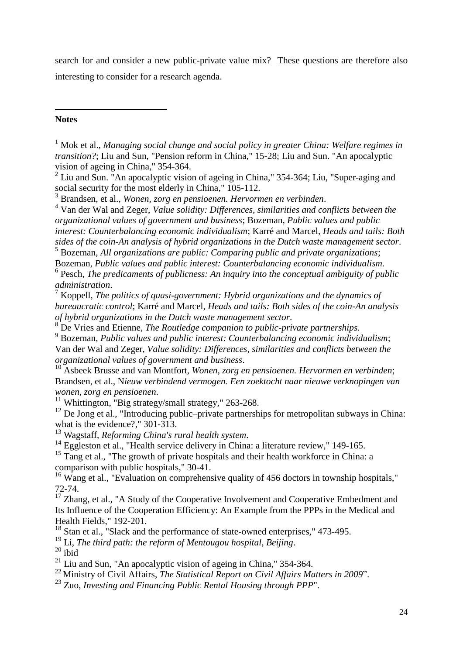search for and consider a new public-private value mix? These questions are therefore also interesting to consider for a research agenda.

#### **Notes**

**.** 

<sup>1</sup> Mok et al., *Managing social change and social policy in greater China: Welfare regimes in transition?*; Liu and Sun, "Pension reform in China," 15-28; Liu and Sun. "An apocalyptic vision of ageing in China," 354-364.

 $2$  Liu and Sun. "An apocalyptic vision of ageing in China," 354-364; Liu, "Super-aging and social security for the most elderly in China," 105-112.

<sup>3</sup> Brandsen, et al., *Wonen, zorg en pensioenen. Hervormen en verbinden*.

<sup>4</sup> Van der Wal and Zeger, *Value solidity: Differences, similarities and conflicts between the organizational values of government and business*; Bozeman, *Public values and public interest: Counterbalancing economic individualism*; Karré and Marcel, *Heads and tails: Both sides of the coin-An analysis of hybrid organizations in the Dutch waste management sector*.

<sup>5</sup> Bozeman, *All organizations are public: Comparing public and private organizations*; Bozeman, *Public values and public interest: Counterbalancing economic individualism.*

<sup>6</sup> Pesch, *The predicaments of publicness: An inquiry into the conceptual ambiguity of public administration*.

<sup>7</sup> Koppell, *The politics of quasi-government: Hybrid organizations and the dynamics of bureaucratic control*; Karré and Marcel, *Heads and tails: Both sides of the coin-An analysis of hybrid organizations in the Dutch waste management sector*.

<sup>8</sup> De Vries and Etienne, *The Routledge companion to public-private partnerships*.

<sup>9</sup> Bozeman, *Public values and public interest: Counterbalancing economic individualism*; Van der Wal and Zeger, *Value solidity: Differences, similarities and conflicts between the organizational values of government and business*.

<sup>10</sup> Asbeek Brusse and van Montfort, *Wonen, zorg en pensioenen. Hervormen en verbinden*; Brandsen, et al., N*ieuw verbindend vermogen. Een zoektocht naar nieuwe verknopingen van wonen, zorg en pensioenen*.

 $11$  Whittington, "Big strategy/small strategy," 263-268.

 $12$  De Jong et al., "Introducing public–private partnerships for metropolitan subways in China: what is the evidence?," 301-313.

<sup>13</sup> Wagstaff, *Reforming China's rural health system*.

<sup>14</sup> Eggleston et al., "Health service delivery in China: a literature review," 149-165.

<sup>15</sup> Tang et al., "The growth of private hospitals and their health workforce in China: a comparison with public hospitals," 30-41.

 $16$  Wang et al., "Evaluation on comprehensive quality of 456 doctors in township hospitals," 72-74.

<sup>17</sup> Zhang, et al., "A Study of the Cooperative Involvement and Cooperative Embedment and Its Influence of the Cooperation Efficiency: An Example from the PPPs in the Medical and Health Fields," 192-201.

<sup>18</sup> Stan et al., "Slack and the performance of state-owned enterprises," 473-495.

<sup>19</sup> Li, *The third path: the reform of Mentougou hospital, Beijing*.

 $20$  ibid

 $21$  Liu and Sun, "An apocalyptic vision of ageing in China," 354-364.

<sup>22</sup> Ministry of Civil Affairs, *The Statistical Report on Civil Affairs Matters in 2009*".

<sup>23</sup> Zuo, *Investing and Financing Public Rental Housing through PPP*".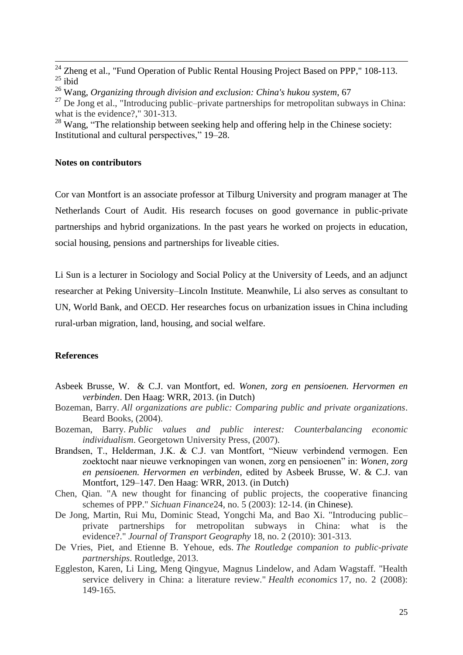$^{27}$  De Jong et al., "Introducing public–private partnerships for metropolitan subways in China: what is the evidence?," 301-313.

 $28$  Wang, "The relationship between seeking help and offering help in the Chinese society: Institutional and cultural perspectives," 19–28.

## **Notes on contributors**

1

Cor van Montfort is an associate professor at Tilburg University and program manager at The Netherlands Court of Audit. His research focuses on good governance in public-private partnerships and hybrid organizations. In the past years he worked on projects in education, social housing, pensions and partnerships for liveable cities.

Li Sun is a lecturer in Sociology and Social Policy at the University of Leeds, and an adjunct researcher at Peking University–Lincoln Institute. Meanwhile, Li also serves as consultant to UN, World Bank, and OECD. Her researches focus on urbanization issues in China including rural-urban migration, land, housing, and social welfare.

# **References**

- Asbeek Brusse, W. & C.J. van Montfort, ed. *Wonen, zorg en pensioenen. Hervormen en verbinden*. Den Haag: WRR, 2013. (in Dutch)
- Bozeman, Barry. *All organizations are public: Comparing public and private organizations*. Beard Books, (2004).
- Bozeman, Barry. *Public values and public interest: Counterbalancing economic individualism*. Georgetown University Press, (2007).
- Brandsen, T., Helderman, J.K. & C.J. van Montfort, "Nieuw verbindend vermogen. Een zoektocht naar nieuwe verknopingen van wonen, zorg en pensioenen" in: *Wonen, zorg en pensioenen. Hervormen en verbinden*, edited by Asbeek Brusse, W. & C.J. van Montfort, 129–147. Den Haag: WRR, 2013. (in Dutch)
- Chen, Qian. "A new thought for financing of public projects, the cooperative financing schemes of PPP." *Sichuan Finance*24, no. 5 (2003): 12-14. (in Chinese).
- De Jong, Martin, Rui Mu, Dominic Stead, Yongchi Ma, and Bao Xi. "Introducing public– private partnerships for metropolitan subways in China: what is the evidence?." *Journal of Transport Geography* 18, no. 2 (2010): 301-313.
- De Vries, Piet, and Etienne B. Yehoue, eds. *The Routledge companion to public-private partnerships*. Routledge, 2013.
- Eggleston, Karen, Li Ling, Meng Qingyue, Magnus Lindelow, and Adam Wagstaff. "Health service delivery in China: a literature review." *Health economics* 17, no. 2 (2008): 149-165.

 $24$  Zheng et al., "Fund Operation of Public Rental Housing Project Based on PPP," 108-113.  $25$  ibid

<sup>26</sup> Wang, *Organizing through division and exclusion: China's hukou system*, 67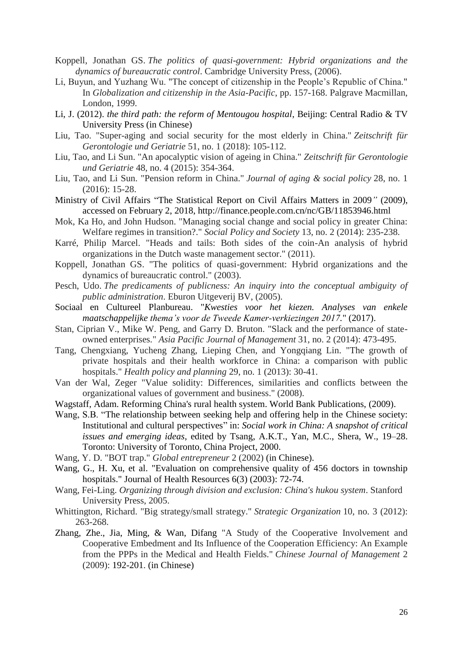- Koppell, Jonathan GS. *The politics of quasi-government: Hybrid organizations and the dynamics of bureaucratic control*. Cambridge University Press, (2006).
- Li, Buyun, and Yuzhang Wu. "The concept of citizenship in the People's Republic of China." In *Globalization and citizenship in the Asia-Pacific*, pp. 157-168. Palgrave Macmillan, London, 1999.
- Li, J. (2012). *the third path: the reform of Mentougou hospital*, Beijing: Central Radio & TV University Press (in Chinese)
- Liu, Tao. "Super-aging and social security for the most elderly in China." *Zeitschrift für Gerontologie und Geriatrie* 51, no. 1 (2018): 105-112.
- Liu, Tao, and Li Sun. "An apocalyptic vision of ageing in China." *Zeitschrift für Gerontologie und Geriatrie* 48, no. 4 (2015): 354-364.
- Liu, Tao, and Li Sun. "Pension reform in China." *Journal of aging & social policy* 28, no. 1 (2016): 15-28.
- Ministry of Civil Affairs "The Statistical Report on Civil Affairs Matters in 2009*"* (2009), accessed on February 2, 2018, http://finance.people.com.cn/nc/GB/11853946.html
- Mok, Ka Ho, and John Hudson. "Managing social change and social policy in greater China: Welfare regimes in transition?." *Social Policy and Society* 13, no. 2 (2014): 235-238.
- Karré, Philip Marcel. "Heads and tails: Both sides of the coin-An analysis of hybrid organizations in the Dutch waste management sector." (2011).
- Koppell, Jonathan GS. "The politics of quasi-government: Hybrid organizations and the dynamics of bureaucratic control." (2003).
- Pesch, Udo. *The predicaments of publicness: An inquiry into the conceptual ambiguity of public administration*. Eburon Uitgeverij BV, (2005).
- Sociaal en Cultureel Planbureau. "*Kwesties voor het kiezen. Analyses van enkele maatschappelijke thema's voor de Tweede Kamer-verkiezingen 2017." (2017).*
- Stan, Ciprian V., Mike W. Peng, and Garry D. Bruton. "Slack and the performance of stateowned enterprises." *Asia Pacific Journal of Management* 31, no. 2 (2014): 473-495.
- Tang, Chengxiang, Yucheng Zhang, Lieping Chen, and Yongqiang Lin. "The growth of private hospitals and their health workforce in China: a comparison with public hospitals." *Health policy and planning* 29, no. 1 (2013): 30-41.
- Van der Wal, Zeger "Value solidity: Differences, similarities and conflicts between the organizational values of government and business." (2008).
- Wagstaff, Adam. Reforming China's rural health system. World Bank Publications, (2009).
- Wang, S.B. "The relationship between seeking help and offering help in the Chinese society: Institutional and cultural perspectives" in: *Social work in China: A snapshot of critical issues and emerging ideas*, edited by Tsang, A.K.T., Yan, M.C., Shera, W., 19–28. Toronto: University of Toronto, China Project, 2000.
- Wang, Y. D. "BOT trap." *Global entrepreneur* 2 (2002) (in Chinese).
- Wang, G., H. Xu, et al. "Evaluation on comprehensive quality of 456 doctors in township hospitals." Journal of Health Resources 6(3) (2003): 72-74.
- Wang, Fei-Ling. *Organizing through division and exclusion: China's hukou system*. Stanford University Press, 2005.
- Whittington, Richard. "Big strategy/small strategy." *Strategic Organization* 10, no. 3 (2012): 263-268.
- Zhang, Zhe., Jia, Ming, & Wan, Difang "A Study of the Cooperative Involvement and Cooperative Embedment and Its Influence of the Cooperation Efficiency: An Example from the PPPs in the Medical and Health Fields." *Chinese Journal of Management* 2 (2009): 192-201. (in Chinese)